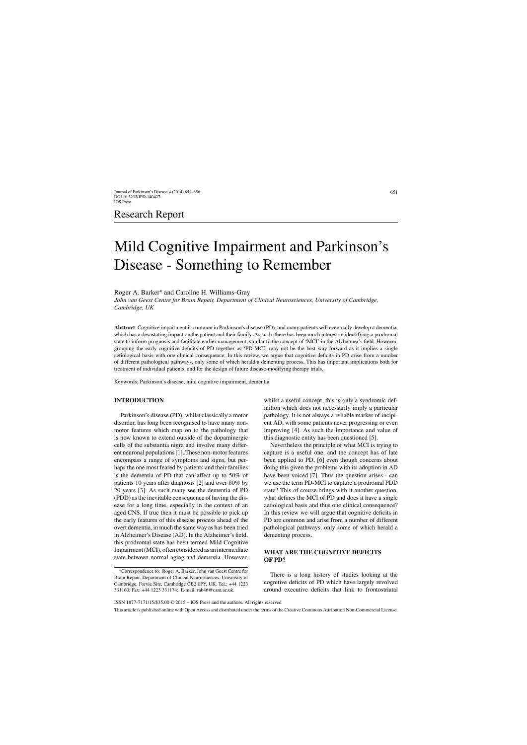# Research Report

# Mild Cognitive Impairment and Parkinson's Disease - Something to Remember

Roger A. Barker<sup>∗</sup> and Caroline H. Williams-Gray

*John van Geest Centre for Brain Repair, Department of Clinical Neurosciences, University of Cambridge, Cambridge, UK*

**Abstract**. Cognitive impairment is common in Parkinson's disease (PD), and many patients will eventually develop a dementia, which has a devastating impact on the patient and their family. As such, there has been much interest in identifying a prodromal state to inform prognosis and facilitate earlier management, similar to the concept of 'MCI' in the Alzheimer's field. However, grouping the early cognitive deficits of PD together as 'PD-MCI' may not be the best way forward as it implies a single aetiological basis with one clinical consequence. In this review, we argue that cognitive deficits in PD arise from a number of different pathological pathways, only some of which herald a dementing process. This has important implications both for treatment of individual patients, and for the design of future disease-modifying therapy trials.

Keywords: Parkinson's disease, mild cognitive impairment, dementia

#### **INTRODUCTION**

Parkinson's disease (PD), whilst classically a motor disorder, has long been recognised to have many nonmotor features which map on to the pathology that is now known to extend outside of the dopaminergic cells of the substantia nigra and involve many different neuronal populations [1]. These non-motor features encompass a range of symptoms and signs, but perhaps the one most feared by patients and their families is the dementia of PD that can affect up to 50% of patients 10 years after diagnosis [2] and over 80% by 20 years [3]. As such many see the dementia of PD (PDD) as the inevitable consequence of having the disease for a long time, especially in the context of an aged CNS. If true then it must be possible to pick up the early features of this disease process ahead of the overt dementia, in much the same way as has been tried in Alzheimer's Disease (AD). In the Alzheimer's field, this prodromal state has been termed Mild Cognitive Impairment (MCI), often considered as an intermediate state between normal aging and dementia. However,

whilst a useful concept, this is only a syndromic definition which does not necessarily imply a particular pathology. It is not always a reliable marker of incipient AD, with some patients never progressing or even improving [4]. As such the importance and value of this diagnostic entity has been questioned [5].

Nevertheless the principle of what MCI is trying to capture is a useful one, and the concept has of late been applied to PD, [6] even though concerns about doing this given the problems with its adoption in AD have been voiced [7]. Thus the question arises - can we use the term PD-MCI to capture a prodromal PDD state? This of course brings with it another question, what defines the MCI of PD and does it have a single aetiological basis and thus one clinical consequence? In this review we will argue that cognitive deficits in PD are common and arise from a number of different pathological pathways, only some of which herald a dementing process.

# **WHAT ARE THE COGNITIVE DEFICITS OF PD?**

There is a long history of studies looking at the cognitive deficits of PD which have largely revolved around executive deficits that link to frontostriatal

This article is published online with Open Access and distributed under the terms of the Creative Commons Attribution Non-Commercial License.

<sup>∗</sup>Correspondence to: Roger A. Barker, John van Geest Centre for Brain Repair, Department of Clinical Neurosciences, University of Cambridge, Forvie Site, Cambridge CB2 0PY, UK. Tel.: +44 1223 331160; Fax: +44 1223 331174; E-mail: [rab46@cam.ac.uk](mailto:rab46@cam.ac.uk).

ISSN 1877-7171/15/\$35.00 © 2015 – IOS Press and the authors. All rights reserved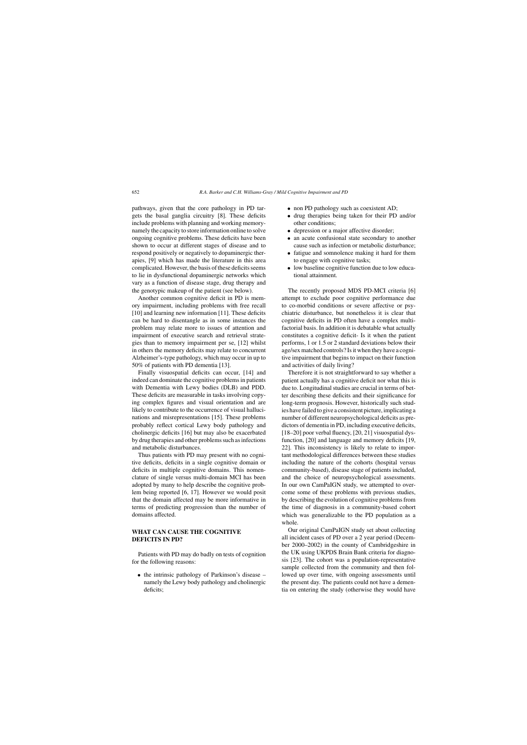pathways, given that the core pathology in PD targets the basal ganglia circuitry [8]. These deficits include problems with planning and working memorynamely the capacity to store information online to solve ongoing cognitive problems. These deficits have been shown to occur at different stages of disease and to respond positively or negatively to dopaminergic therapies, [9] which has made the literature in this area complicated. However, the basis of these deficits seems to lie in dysfunctional dopaminergic networks which vary as a function of disease stage, drug therapy and the genotypic makeup of the patient (see below).

Another common cognitive deficit in PD is memory impairment, including problems with free recall [10] and learning new information [11]. These deficits can be hard to disentangle as in some instances the problem may relate more to issues of attention and impairment of executive search and retrieval strategies than to memory impairment per se, [12] whilst in others the memory deficits may relate to concurrent Alzheimer's-type pathology, which may occur in up to 50% of patients with PD dementia [13].

Finally visuospatial deficits can occur, [14] and indeed can dominate the cognitive problems in patients with Dementia with Lewy bodies (DLB) and PDD. These deficits are measurable in tasks involving copying complex figures and visual orientation and are likely to contribute to the occurrence of visual hallucinations and misrepresentations [15]. These problems probably reflect cortical Lewy body pathology and cholinergic deficits [16] but may also be exacerbated by drug therapies and other problems such as infections and metabolic disturbances.

Thus patients with PD may present with no cognitive deficits, deficits in a single cognitive domain or deficits in multiple cognitive domains. This nomenclature of single versus multi-domain MCI has been adopted by many to help describe the cognitive problem being reported [6, 17]. However we would posit that the domain affected may be more informative in terms of predicting progression than the number of domains affected.

## **WHAT CAN CAUSE THE COGNITIVE DEFICITS IN PD?**

Patients with PD may do badly on tests of cognition for the following reasons:

• the intrinsic pathology of Parkinson's disease – namely the Lewy body pathology and cholinergic deficits;

- non PD pathology such as coexistent AD;
- drug therapies being taken for their PD and/or other conditions;
- depression or a major affective disorder;
- an acute confusional state secondary to another cause such as infection or metabolic disturbance;
- fatigue and somnolence making it hard for them to engage with cognitive tasks;
- low baseline cognitive function due to low educational attainment.

The recently proposed MDS PD-MCI criteria [6] attempt to exclude poor cognitive performance due to co-morbid conditions or severe affective or psychiatric disturbance, but nonetheless it is clear that cognitive deficits in PD often have a complex multifactorial basis. In addition it is debatable what actually constitutes a cognitive deficit- Is it when the patient performs, 1 or 1.5 or 2 standard deviations below their age/sex matched controls? Is it when they have a cognitive impairment that begins to impact on their function and activities of daily living?

Therefore it is not straightforward to say whether a patient actually has a cognitive deficit nor what this is due to. Longitudinal studies are crucial in terms of better describing these deficits and their significance for long-term prognosis. However, historically such studies have failed to give a consistent picture, implicating a number of different neuropsychological deficits as predictors of dementia in PD, including executive deficits, [18–20] poor verbal fluency, [20, 21] visuospatial dysfunction, [20] and language and memory deficits [19, 22]. This inconsistency is likely to relate to important methodological differences between these studies including the nature of the cohorts (hospital versus community-based), disease stage of patients included, and the choice of neuropsychological assessments. In our own CamPaIGN study, we attempted to overcome some of these problems with previous studies, by describing the evolution of cognitive problems from the time of diagnosis in a community-based cohort which was generalizable to the PD population as a whole.

Our original CamPaIGN study set about collecting all incident cases of PD over a 2 year period (December 2000–2002) in the county of Cambridgeshire in the UK using UKPDS Brain Bank criteria for diagnosis [23]. The cohort was a population-representative sample collected from the community and then followed up over time, with ongoing assessments until the present day. The patients could not have a dementia on entering the study (otherwise they would have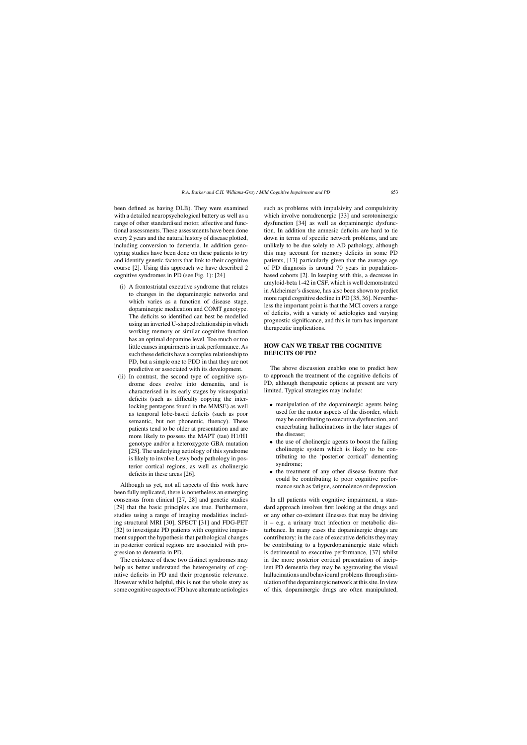been defined as having DLB). They were examined with a detailed neuropsychological battery as well as a range of other standardised motor, affective and functional assessments. These assessments have been done every 2 years and the natural history of disease plotted, including conversion to dementia. In addition genotyping studies have been done on these patients to try and identify genetic factors that link to their cognitive course [2]. Using this approach we have described 2 cognitive syndromes in PD (see Fig. 1): [24]

- (i) A frontostriatal executive syndrome that relates to changes in the dopaminergic networks and which varies as a function of disease stage, dopaminergic medication and COMT genotype. The deficits so identified can best be modelled using an inverted U-shaped relationship in which working memory or similar cognitive function has an optimal dopamine level. Too much or too little causes impairments in task performance. As such these deficits have a complex relationship to PD, but a simple one to PDD in that they are not predictive or associated with its development.
- (ii) In contrast, the second type of cognitive syndrome does evolve into dementia, and is characterised in its early stages by visuospatial deficits (such as difficulty copying the interlocking pentagons found in the MMSE) as well as temporal lobe-based deficits (such as poor semantic, but not phonemic, fluency). These patients tend to be older at presentation and are more likely to possess the MAPT (tau) H1/H1 genotype and/or a heterozygote GBA mutation [25]. The underlying aetiology of this syndrome is likely to involve Lewy body pathology in posterior cortical regions, as well as cholinergic deficits in these areas [26].

Although as yet, not all aspects of this work have been fully replicated, there is nonetheless an emerging consensus from clinical [27, 28] and genetic studies [29] that the basic principles are true. Furthermore, studies using a range of imaging modalities including structural MRI [30], SPECT [31] and FDG-PET [32] to investigate PD patients with cognitive impairment support the hypothesis that pathological changes in posterior cortical regions are associated with progression to dementia in PD.

The existence of these two distinct syndromes may help us better understand the heterogeneity of cognitive deficits in PD and their prognostic relevance. However whilst helpful, this is not the whole story as some cognitive aspects of PD have alternate aetiologies

such as problems with impulsivity and compulsivity which involve noradrenergic [33] and serotoninergic dysfunction [34] as well as dopaminergic dysfunction. In addition the amnesic deficits are hard to tie down in terms of specific network problems, and are unlikely to be due solely to AD pathology, although this may account for memory deficits in some PD patients, [13] particularly given that the average age of PD diagnosis is around 70 years in populationbased cohorts [2]. In keeping with this, a decrease in amyloid-beta 1-42 in CSF, which is well demonstrated in Alzheimer's disease, has also been shown to predict more rapid cognitive decline in PD [35, 36]. Nevertheless the important point is that the MCI covers a range of deficits, with a variety of aetiologies and varying prognostic significance, and this in turn has important therapeutic implications.

# **HOW CAN WE TREAT THE COGNITIVE DEFICITS OF PD?**

The above discussion enables one to predict how to approach the treatment of the cognitive deficits of PD, although therapeutic options at present are very limited. Typical strategies may include:

- manipulation of the dopaminergic agents being used for the motor aspects of the disorder, which may be contributing to executive dysfunction, and exacerbating hallucinations in the later stages of the disease;
- the use of cholinergic agents to boost the failing cholinergic system which is likely to be contributing to the 'posterior cortical' dementing syndrome;
- the treatment of any other disease feature that could be contributing to poor cognitive performance such as fatigue, somnolence or depression.

In all patients with cognitive impairment, a standard approach involves first looking at the drugs and or any other co-existent illnesses that may be driving it – e.g. a urinary tract infection or metabolic disturbance. In many cases the dopaminergic drugs are contributory: in the case of executive deficits they may be contributing to a hyperdopaminergic state which is detrimental to executive performance, [37] whilst in the more posterior cortical presentation of incipient PD dementia they may be aggravating the visual hallucinations and behavioural problems through stimulation of the dopaminergic network at this site. In view of this, dopaminergic drugs are often manipulated,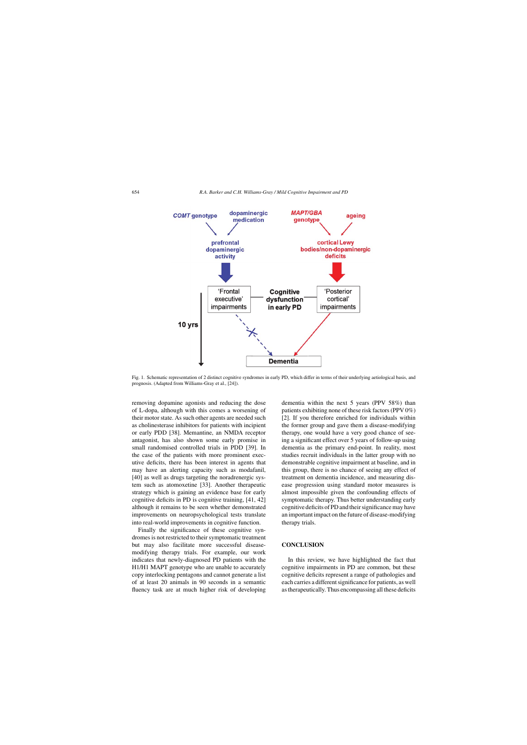

Fig. 1. Schematic representation of 2 distinct cognitive syndromes in early PD, which differ in terms of their underlying aetiological basis, and prognosis. (Adapted from Williams-Gray et al., [24]).

removing dopamine agonists and reducing the dose of L-dopa, although with this comes a worsening of their motor state. As such other agents are needed such as cholinesterase inhibitors for patients with incipient or early PDD [38]. Memantine, an NMDA receptor antagonist, has also shown some early promise in small randomised controlled trials in PDD [39]. In the case of the patients with more prominent executive deficits, there has been interest in agents that may have an alerting capacity such as modafanil, [40] as well as drugs targeting the noradrenergic system such as atomoxetine [33]. Another therapeutic strategy which is gaining an evidence base for early cognitive deficits in PD is cognitive training, [41, 42] although it remains to be seen whether demonstrated improvements on neuropsychological tests translate into real-world improvements in cognitive function.

Finally the significance of these cognitive syndromes is not restricted to their symptomatic treatment but may also facilitate more successful diseasemodifying therapy trials. For example, our work indicates that newly-diagnosed PD patients with the H1/H1 MAPT genotype who are unable to accurately copy interlocking pentagons and cannot generate a list of at least 20 animals in 90 seconds in a semantic fluency task are at much higher risk of developing

dementia within the next 5 years (PPV 58%) than patients exhibiting none of these risk factors (PPV 0%) [2]. If you therefore enriched for individuals within the former group and gave them a disease-modifying therapy, one would have a very good chance of seeing a significant effect over 5 years of follow-up using dementia as the primary end-point. In reality, most studies recruit individuals in the latter group with no demonstrable cognitive impairment at baseline, and in this group, there is no chance of seeing any effect of treatment on dementia incidence, and measuring disease progression using standard motor measures is almost impossible given the confounding effects of symptomatic therapy. Thus better understanding early cognitive deficits of PD and their significance may have an important impact on the future of disease-modifying therapy trials.

#### **CONCLUSION**

In this review, we have highlighted the fact that cognitive impairments in PD are common, but these cognitive deficits represent a range of pathologies and each carries a different significance for patients, as well as therapeutically. Thus encompassing all these deficits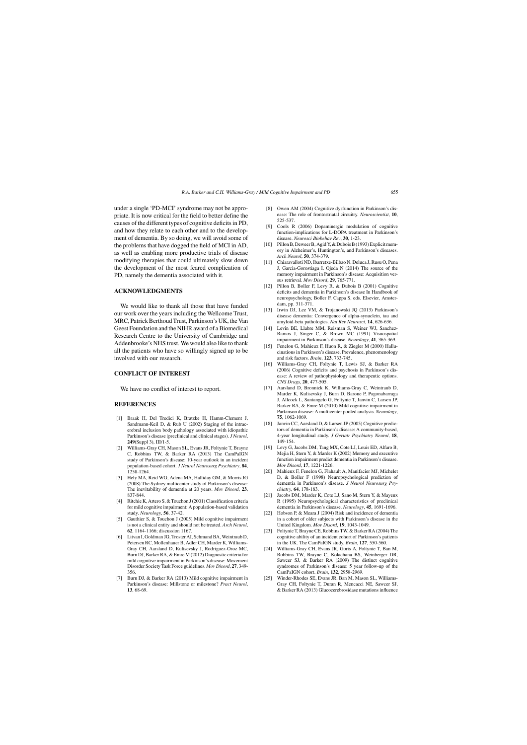under a single 'PD-MCI' syndrome may not be appropriate. It is now critical for the field to better define the causes of the different types of cognitive deficits in PD, and how they relate to each other and to the development of dementia. By so doing, we will avoid some of the problems that have dogged the field of MCI in AD, as well as enabling more productive trials of disease modifying therapies that could ultimately slow down the development of the most feared complication of PD, namely the dementia associated with it.

#### **ACKNOWLEDGMENTS**

We would like to thank all those that have funded our work over the years including the Wellcome Trust, MRC, Patrick Berthoud Trust, Parkinson's UK, the Van Geest Foundation and the NIHR award of a Biomedical Research Centre to the University of Cambridge and Addenbrooke's NHS trust. We would also like to thank all the patients who have so willingly signed up to be involved with our research.

## **CONFLICT OF INTEREST**

We have no conflict of interest to report.

#### **REFERENCES**

- [1] Braak H, Del Tredici K, Bratzke H, Hamm-Clement J, Sandmann-Keil D, & Rub U (2002) Staging of the intracerebral inclusion body pathology associated with idiopathic Parkinson's disease (preclinical and clinical stages). *J Neurol*, **249**(Suppl 3), III/1-5.
- [2] Williams-Gray CH, Mason SL, Evans JR, Foltynie T, Brayne C, Robbins TW, & Barker RA (2013) The CamPaIGN study of Parkinson's disease: 10-year outlook in an incident population-based cohort. *J Neurol Neurosurg Psychiatry*, **84**, 1258-1264.
- [3] Hely MA, Reid WG, Adena MA, Halliday GM, & Morris JG (2008) The Sydney multicenter study of Parkinson's disease: The inevitability of dementia at 20 years. *Mov Disord*, **23**, 837-844.
- [4] Ritchie K, Artero S, & Touchon J (2001) Classification criteria for mild cognitive impairment: A population-based validation study. *Neurology*, **56**, 37-42.
- [5] Gauthier S, & Touchon J (2005) Mild cognitive impairment is not a clinical entity and should not be treated. *Arch Neurol*, **62**, 1164-1166; discussion 1167.
- [6] Litvan I, Goldman JG, Troster AI, Schmand BA, Weintraub D, Petersen RC, Mollenhauer B, Adler CH, Marder K, Williams-Gray CH, Aarsland D, Kulisevsky J, Rodriguez-Oroz MC, Burn DJ, Barker RA, & Emre M (2012) Diagnostic criteria for mild cognitive impairment in Parkinson's disease: Movement Disorder Society Task Force guidelines. *Mov Disord*, **27**, 349- 356.
- [7] Burn DJ, & Barker RA (2013) Mild cognitive impairment in Parkinson's disease: Millstone or milestone? *Pract Neurol*, **13**, 68-69.
- [8] Owen AM (2004) Cognitive dysfunction in Parkinson's disease: The role of frontostriatal circuitry. *Neuroscientist*, **10**, 525-537.
- [9] Cools R (2006) Dopaminergic modulation of cognitive function-implications for L-DOPA treatment in Parkinson's disease. *Neurosci Biobehav Rev*, **30**, 1-23.
- [10] Pillon B, Deweer B, Agid Y, & Dubois B (1993) Explicit memory in Alzheimer's, Huntington's, and Parkinson's diseases. *Arch Neurol*, **50**, 374-379.
- [11] Chiaravalloti ND, Ibarretxe-Bilbao N, Deluca J, Rusu O, Pena J, Garcia-Gorostiaga I, Ojeda N (2014) The source of the memory impairment in Parkinson's disease: Acquisition versus retrieval. *Mov Disord*, **29**, 765-771.
- [12] Pillon B, Boller F, Levy R, & Dubois B (2001) Cognitive deficits and dementia in Parkinson's disease In Handbook of neuropsychology, Boller F, Cappa S, eds. Elsevier, Amsterdam, pp. 311-371.
- [13] Irwin DJ, Lee VM, & Trojanowski JQ (2013) Parkinson's disease dementia: Convergence of alpha-synuclein, tau and amyloid-beta pathologies. *Nat Rev Neurosci*, **14**, 626-636.
- [14] Levin BE, Llabre MM, Reisman S, Weiner WJ, Sanchez-Ramos J, Singer C, & Brown MC (1991) Visuospatial impairment in Parkinson's disease. *Neurology*, **41**, 365-369.
- [15] Fenelon G, Mahieux F, Huon R, & Ziegler M (2000) Hallucinations in Parkinson's disease. Prevalence, phenomenology and risk factors. *Brain*, **123**, 733-745.
- [16] Williams-Gray CH, Foltynie T, Lewis SJ, & Barker RA (2006) Cognitive deficits and psychosis in Parkinson's disease: A review of pathophysiology and therapeutic options. *CNS Drugs*, **20**, 477-505.
- [17] Aarsland D, Bronnick K, Williams-Gray C, Weintraub D, Marder K, Kulisevsky J, Burn D, Barone P, Pagonabarraga J, Allcock L, Santangelo G, Foltynie T, Janvin C, Larsen JP, Barker RA, & Emre M (2010) Mild cognitive impairment in Parkinson disease: A multicenter pooled analysis. *Neurology*, **75**, 1062-1069.
- [18] Janvin CC, Aarsland D, & Larsen JP (2005) Cognitive predictors of dementia in Parkinson's disease: A community-based, 4-year longitudinal study. *J Geriatr Psychiatry Neurol*, **18**, 149-154.
- [19] Levy G, Jacobs DM, Tang MX, Cote LJ, Louis ED, Alfaro B, Mejia H, Stern Y, & Marder K (2002) Memory and executive function impairment predict dementia in Parkinson's disease. *Mov Disord*, **17**, 1221-1226.
- [20] Mahieux F, Fenelon G, Flahault A, Manifacier MJ, Michelet D, & Boller F (1998) Neuropsychological prediction of dementia in Parkinson's disease. *J Neurol Neurosurg Psychiatry*, **64**, 178-183.
- [21] Jacobs DM, Marder K, Cote LJ, Sano M, Stern Y, & Mayeux R (1995) Neuropsychological characteristics of preclinical dementia in Parkinson's disease. *Neurology*, **45**, 1691-1696.
- [22] Hobson P, & Meara J (2004) Risk and incidence of dementia in a cohort of older subjects with Parkinson's disease in the United Kingdom. *Mov Disord*, **19**, 1043-1049.
- [23] Foltynie T, Brayne CE, Robbins TW, & Barker RA (2004) The cognitive ability of an incident cohort of Parkinson's patients in the UK. The CamPaIGN study. *Brain*, **127**, 550-560.
- [24] Williams-Gray CH, Evans JR, Goris A, Foltynie T, Ban M, Robbins TW, Brayne C, Kolachana BS, Weinberger DR, Sawcer SJ, & Barker RA (2009) The distinct cognitive syndromes of Parkinson's disease: 5 year follow-up of the CamPaIGN cohort. *Brain*, **132**, 2958-2969.
- [25] Winder-Rhodes SE, Evans JR, Ban M, Mason SL, Williams-Gray CH, Foltynie T, Duran R, Mencacci NE, Sawcer SJ, & Barker RA (2013) Glucocerebrosidase mutations influence